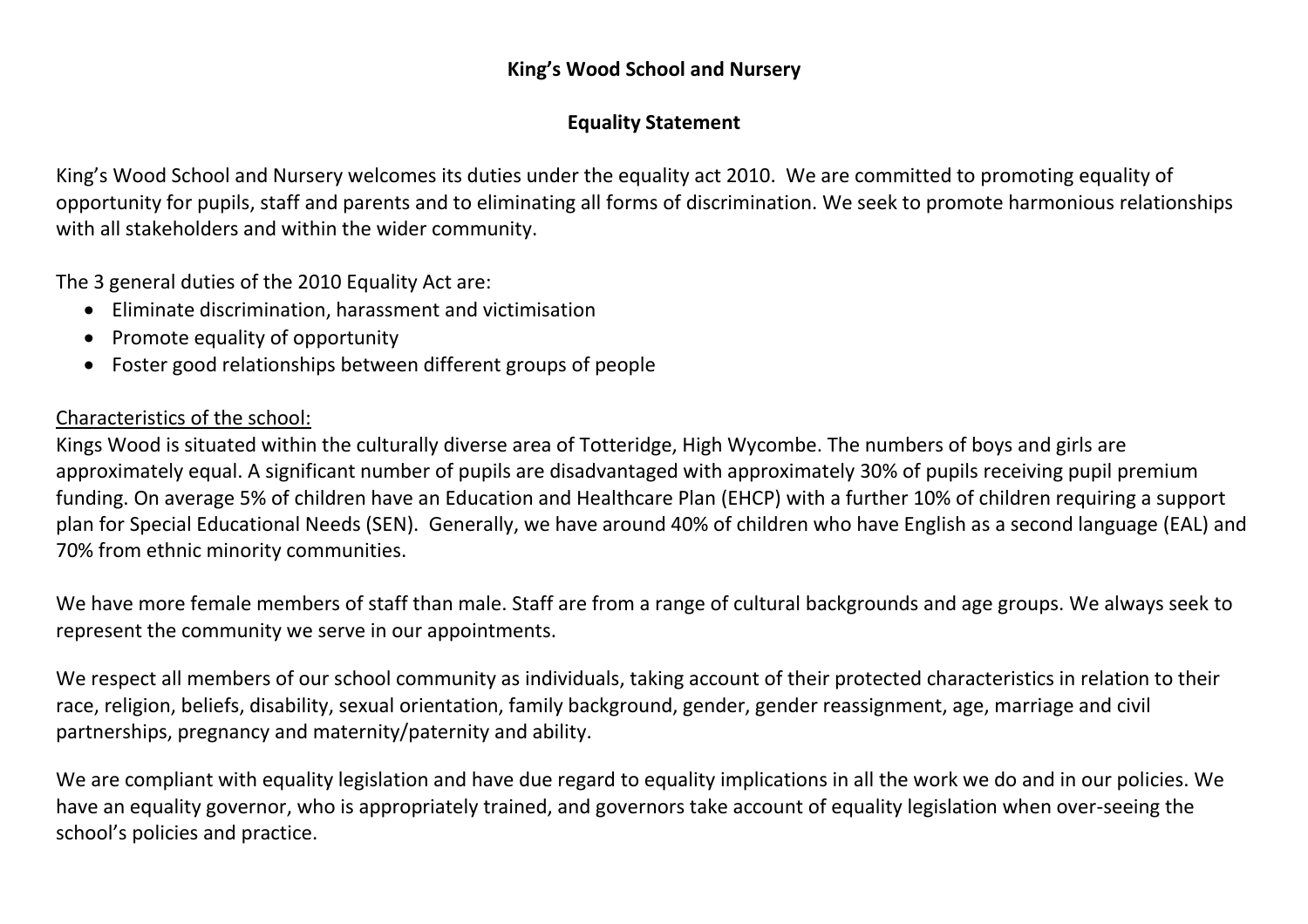## **King's Wood School and Nursery**

## **Equality Statement**

King's Wood School and Nursery welcomes its duties under the equality act 2010. We are committed to promoting equality of opportunity for pupils, staff and parents and to eliminating all forms of discrimination. We seek to promote harmonious relationships with all stakeholders and within the wider community.

The 3 general duties of the 2010 Equality Act are:

- Eliminate discrimination, harassment and victimisation
- Promote equality of opportunity
- Foster good relationships between different groups of people

## Characteristics of the school:

Kings Wood is situated within the culturally diverse area of Totteridge, High Wycombe. The numbers of boys and girls are approximately equal. A significant number of pupils are disadvantaged with approximately 30% of pupils receiving pupil premium funding. On average 5% of children have an Education and Healthcare Plan (EHCP) with a further 10% of children requiring a support plan for Special Educational Needs (SEN). Generally, we have around 40% of children who have English as a second language (EAL) and 70% from ethnic minority communities.

We have more female members of staff than male. Staff are from a range of cultural backgrounds and age groups. We always seek to represent the community we serve in our appointments.

We respect all members of our school community as individuals, taking account of their protected characteristics in relation to their race, religion, beliefs, disability, sexual orientation, family background, gender, gender reassignment, age, marriage and civil partnerships, pregnancy and maternity/paternity and ability.

We are compliant with equality legislation and have due regard to equality implications in all the work we do and in our policies. We have an equality governor, who is appropriately trained, and governors take account of equality legislation when over-seeing the school's policies and practice.